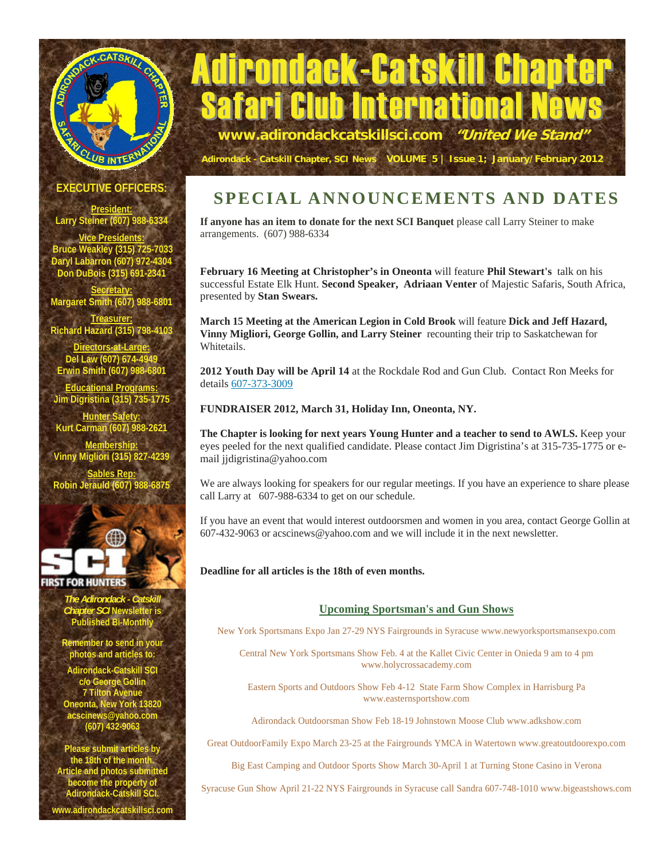

# Adirondack-Catskill Chap **b Internationa www.adirondackcatskillsci.com "United We Stand"**

**Adirondack - Catskill Chapter, SCI News VOLUME 5 | Issue 1; January/February 2012**

#### **EXECUTIVE OFFICERS**

**President: Larry Steiner (607) 988-6334** 

**Vice Presidents: Bruce Weakley (315) 725-7033 Daryl Labarron (607) 972-4304 Don DuBois (315) 691-2341** 

**Secretary: Margaret Smith (607) 988-6801** 

**Trea Richard Hazard (315) 798-4103** 

**Directors-at-Large: Del Law (607) 674-4949 Erwin Smith (607) 988-6801** 

**Educational Programs: Jim Digristina (315) 735-1775** 

**Hunter Safety: Kurt Carman (607) 988-2621 Membership: Vinny Migliori (315) 827-4239 Sables Rep: Robin Jerauld (607) 988-6875**



#### **IRST FOR HUNTERS**

*The Adirondack - Catskill Chapter SCI* **Newsletter is Published Bi-Monthly** 

**Remember to send in your photos and articles to:** 

**Adirondack-Catskill SCI c/o George Gollin 7 Tilton Avenue Oneonta, New York 13820 acscinews@yahoo.com (607) 432-9063** 

**Please submit articles by the 18th of the month. Article and photos submitted become the property of Adirondack-Catskill SCI.** 

**www.adirondackcatskillsci.com** 

## **SPECIAL ANNOUNCEMENTS AND DATES**

**If anyone has an item to donate for the next SCI Banquet** please call Larry Steiner to make arrangements. (607) 988-6334

**February 16 Meeting at Christopher's in Oneonta** will feature **Phil Stewart's** talk on his successful Estate Elk Hunt. **Second Speaker, Adriaan Venter** of Majestic Safaris, South Africa, presented by **Stan Swears.** 

**March 15 Meeting at the American Legion in Cold Brook** will feature **Dick and Jeff Hazard, Vinny Migliori, George Gollin, and Larry Steiner** recounting their trip to Saskatchewan for Whitetails.

**2012 Youth Day will be April 14** at the Rockdale Rod and Gun Club. Contact Ron Meeks for details 607-373-3009

**FUNDRAISER 2012, March 31, Holiday Inn, Oneonta, NY.** 

**The Chapter is looking for next years Young Hunter and a teacher to send to AWLS.** Keep your eyes peeled for the next qualified candidate. Please contact Jim Digristina's at 315-735-1775 or email jjdigristina@yahoo.com

We are always looking for speakers for our regular meetings. If you have an experience to share please call Larry at 607-988-6334 to get on our schedule.

If you have an event that would interest outdoorsmen and women in you area, contact George Gollin at 607-432-9063 or acscinews@yahoo.com and we will include it in the next newsletter.

#### **Deadline for all articles is the 18th of even months.**

#### **Upcoming Sportsman's and Gun Shows**

New York Sportsmans Expo Jan 27-29 NYS Fairgrounds in Syracuse www.newyorksportsmansexpo.com

Central New York Sportsmans Show Feb. 4 at the Kallet Civic Center in Onieda 9 am to 4 pm www.holycrossacademy.com

Eastern Sports and Outdoors Show Feb 4-12 State Farm Show Complex in Harrisburg Pa www.easternsportshow.com

Adirondack Outdoorsman Show Feb 18-19 Johnstown Moose Club www.adkshow.com

Great OutdoorFamily Expo March 23-25 at the Fairgrounds YMCA in Watertown www.greatoutdoorexpo.com

Big East Camping and Outdoor Sports Show March 30-April 1 at Turning Stone Casino in Verona

Syracuse Gun Show April 21-22 NYS Fairgrounds in Syracuse call Sandra 607-748-1010 www.bigeastshows.com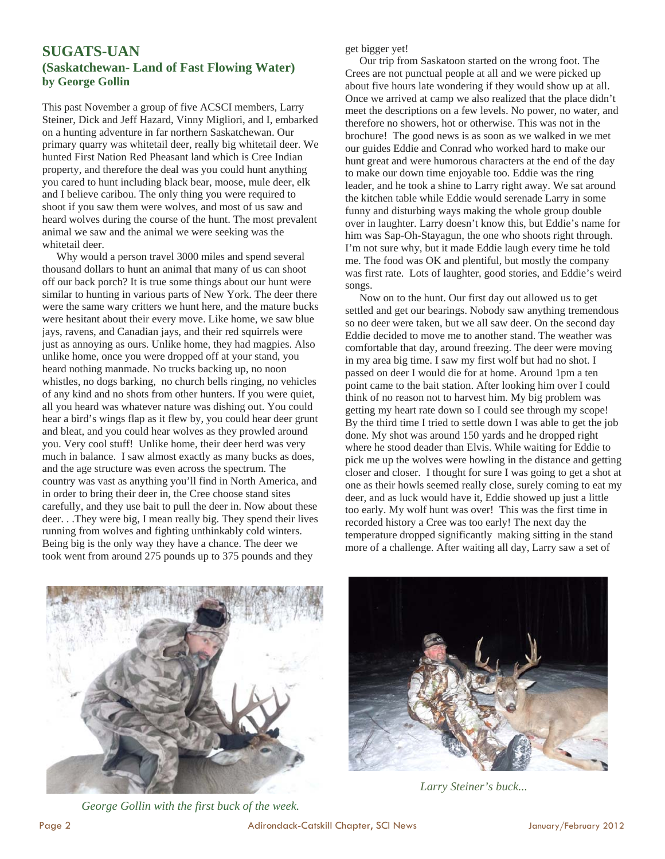#### **SUGATS-UAN (Saskatchewan- Land of Fast Flowing Water) by George Gollin**

This past November a group of five ACSCI members, Larry Steiner, Dick and Jeff Hazard, Vinny Migliori, and I, embarked on a hunting adventure in far northern Saskatchewan. Our primary quarry was whitetail deer, really big whitetail deer. We hunted First Nation Red Pheasant land which is Cree Indian property, and therefore the deal was you could hunt anything you cared to hunt including black bear, moose, mule deer, elk and I believe caribou. The only thing you were required to shoot if you saw them were wolves, and most of us saw and heard wolves during the course of the hunt. The most prevalent animal we saw and the animal we were seeking was the whitetail deer.

 Why would a person travel 3000 miles and spend several thousand dollars to hunt an animal that many of us can shoot off our back porch? It is true some things about our hunt were similar to hunting in various parts of New York. The deer there were the same wary critters we hunt here, and the mature bucks were hesitant about their every move. Like home, we saw blue jays, ravens, and Canadian jays, and their red squirrels were just as annoying as ours. Unlike home, they had magpies. Also unlike home, once you were dropped off at your stand, you heard nothing manmade. No trucks backing up, no noon whistles, no dogs barking, no church bells ringing, no vehicles of any kind and no shots from other hunters. If you were quiet, all you heard was whatever nature was dishing out. You could hear a bird's wings flap as it flew by, you could hear deer grunt and bleat, and you could hear wolves as they prowled around you. Very cool stuff! Unlike home, their deer herd was very much in balance. I saw almost exactly as many bucks as does, and the age structure was even across the spectrum. The country was vast as anything you'll find in North America, and in order to bring their deer in, the Cree choose stand sites carefully, and they use bait to pull the deer in. Now about these deer. . .They were big, I mean really big. They spend their lives running from wolves and fighting unthinkably cold winters. Being big is the only way they have a chance. The deer we took went from around 275 pounds up to 375 pounds and they

get bigger yet!

 Our trip from Saskatoon started on the wrong foot. The Crees are not punctual people at all and we were picked up about five hours late wondering if they would show up at all. Once we arrived at camp we also realized that the place didn't meet the descriptions on a few levels. No power, no water, and therefore no showers, hot or otherwise. This was not in the brochure! The good news is as soon as we walked in we met our guides Eddie and Conrad who worked hard to make our hunt great and were humorous characters at the end of the day to make our down time enjoyable too. Eddie was the ring leader, and he took a shine to Larry right away. We sat around the kitchen table while Eddie would serenade Larry in some funny and disturbing ways making the whole group double over in laughter. Larry doesn't know this, but Eddie's name for him was Sap-Oh-Stayagun, the one who shoots right through. I'm not sure why, but it made Eddie laugh every time he told me. The food was OK and plentiful, but mostly the company was first rate. Lots of laughter, good stories, and Eddie's weird songs.

 Now on to the hunt. Our first day out allowed us to get settled and get our bearings. Nobody saw anything tremendous so no deer were taken, but we all saw deer. On the second day Eddie decided to move me to another stand. The weather was comfortable that day, around freezing. The deer were moving in my area big time. I saw my first wolf but had no shot. I passed on deer I would die for at home. Around 1pm a ten point came to the bait station. After looking him over I could think of no reason not to harvest him. My big problem was getting my heart rate down so I could see through my scope! By the third time I tried to settle down I was able to get the job done. My shot was around 150 yards and he dropped right where he stood deader than Elvis. While waiting for Eddie to pick me up the wolves were howling in the distance and getting closer and closer. I thought for sure I was going to get a shot at one as their howls seemed really close, surely coming to eat my deer, and as luck would have it, Eddie showed up just a little too early. My wolf hunt was over! This was the first time in recorded history a Cree was too early! The next day the temperature dropped significantly making sitting in the stand more of a challenge. After waiting all day, Larry saw a set of







*Larry Steiner's buck...*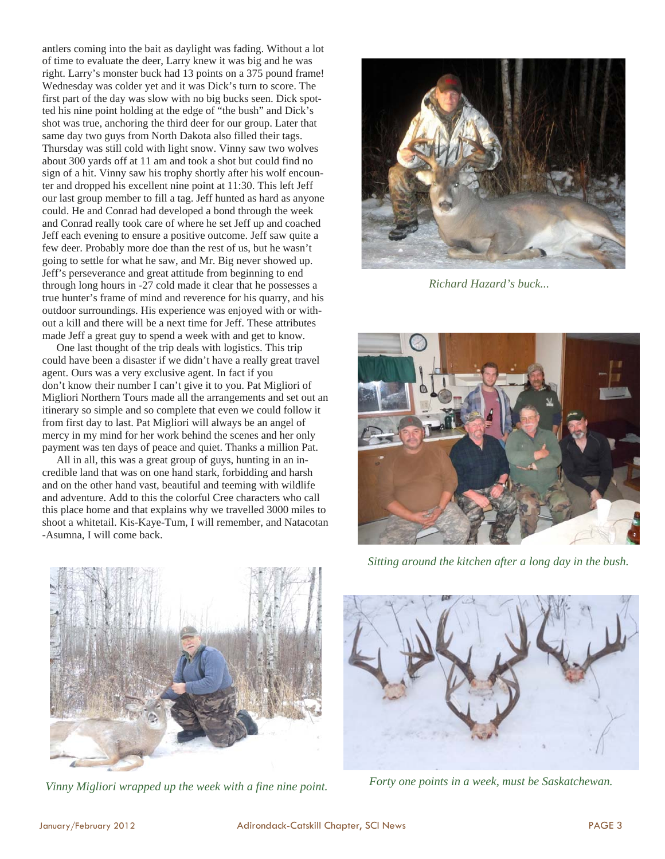antlers coming into the bait as daylight was fading. Without a lot of time to evaluate the deer, Larry knew it was big and he was right. Larry's monster buck had 13 points on a 375 pound frame! Wednesday was colder yet and it was Dick's turn to score. The first part of the day was slow with no big bucks seen. Dick spotted his nine point holding at the edge of "the bush" and Dick's shot was true, anchoring the third deer for our group. Later that same day two guys from North Dakota also filled their tags. Thursday was still cold with light snow. Vinny saw two wolves about 300 yards off at 11 am and took a shot but could find no sign of a hit. Vinny saw his trophy shortly after his wolf encounter and dropped his excellent nine point at 11:30. This left Jeff our last group member to fill a tag. Jeff hunted as hard as anyone could. He and Conrad had developed a bond through the week and Conrad really took care of where he set Jeff up and coached Jeff each evening to ensure a positive outcome. Jeff saw quite a few deer. Probably more doe than the rest of us, but he wasn't going to settle for what he saw, and Mr. Big never showed up. Jeff's perseverance and great attitude from beginning to end through long hours in -27 cold made it clear that he possesses a true hunter's frame of mind and reverence for his quarry, and his outdoor surroundings. His experience was enjoyed with or without a kill and there will be a next time for Jeff. These attributes made Jeff a great guy to spend a week with and get to know.

 One last thought of the trip deals with logistics. This trip could have been a disaster if we didn't have a really great travel agent. Ours was a very exclusive agent. In fact if you don't know their number I can't give it to you. Pat Migliori of Migliori Northern Tours made all the arrangements and set out an itinerary so simple and so complete that even we could follow it from first day to last. Pat Migliori will always be an angel of mercy in my mind for her work behind the scenes and her only payment was ten days of peace and quiet. Thanks a million Pat.

 All in all, this was a great group of guys, hunting in an incredible land that was on one hand stark, forbidding and harsh and on the other hand vast, beautiful and teeming with wildlife and adventure. Add to this the colorful Cree characters who call this place home and that explains why we travelled 3000 miles to shoot a whitetail. Kis-Kaye-Tum, I will remember, and Natacotan -Asumna, I will come back.



*Richard Hazard's buck...* 



*Sitting around the kitchen after a long day in the bush.* 



*Vinny Migliori wrapped up the week with a fine nine point.* 



*Forty one points in a week, must be Saskatchewan.*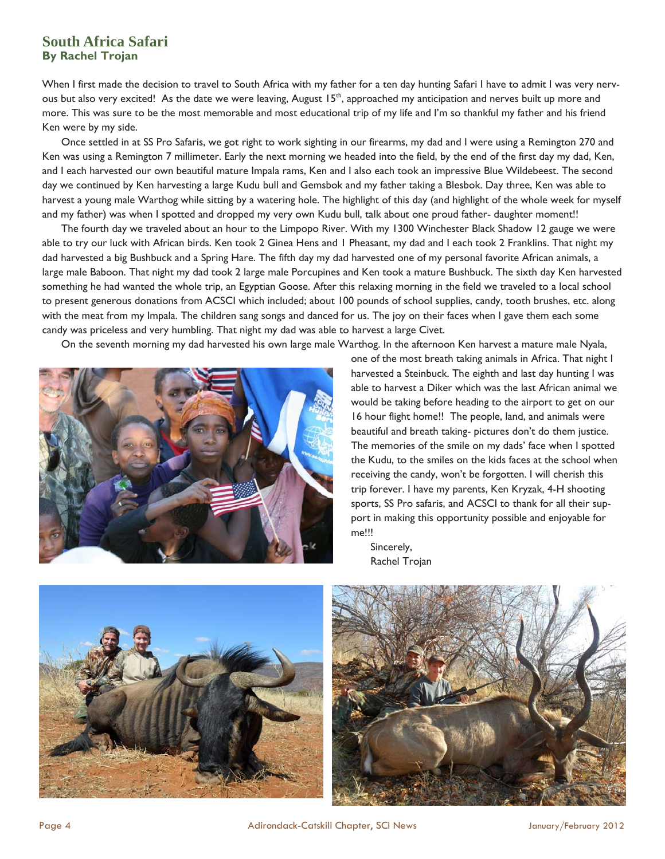#### **South Africa Safari By Rachel Trojan**

When I first made the decision to travel to South Africa with my father for a ten day hunting Safari I have to admit I was very nervous but also very excited! As the date we were leaving, August 15<sup>th</sup>, approached my anticipation and nerves built up more and more. This was sure to be the most memorable and most educational trip of my life and I'm so thankful my father and his friend Ken were by my side.

 Once settled in at SS Pro Safaris, we got right to work sighting in our firearms, my dad and I were using a Remington 270 and Ken was using a Remington 7 millimeter. Early the next morning we headed into the field, by the end of the first day my dad, Ken, and I each harvested our own beautiful mature Impala rams, Ken and I also each took an impressive Blue Wildebeest. The second day we continued by Ken harvesting a large Kudu bull and Gemsbok and my father taking a Blesbok. Day three, Ken was able to harvest a young male Warthog while sitting by a watering hole. The highlight of this day (and highlight of the whole week for myself and my father) was when I spotted and dropped my very own Kudu bull, talk about one proud father- daughter moment!!

 The fourth day we traveled about an hour to the Limpopo River. With my 1300 Winchester Black Shadow 12 gauge we were able to try our luck with African birds. Ken took 2 Ginea Hens and 1 Pheasant, my dad and I each took 2 Franklins. That night my dad harvested a big Bushbuck and a Spring Hare. The fifth day my dad harvested one of my personal favorite African animals, a large male Baboon. That night my dad took 2 large male Porcupines and Ken took a mature Bushbuck. The sixth day Ken harvested something he had wanted the whole trip, an Egyptian Goose. After this relaxing morning in the field we traveled to a local school to present generous donations from ACSCI which included; about 100 pounds of school supplies, candy, tooth brushes, etc. along with the meat from my Impala. The children sang songs and danced for us. The joy on their faces when I gave them each some candy was priceless and very humbling. That night my dad was able to harvest a large Civet.

On the seventh morning my dad harvested his own large male Warthog. In the afternoon Ken harvest a mature male Nyala,



one of the most breath taking animals in Africa. That night I harvested a Steinbuck. The eighth and last day hunting I was able to harvest a Diker which was the last African animal we would be taking before heading to the airport to get on our 16 hour flight home!! The people, land, and animals were beautiful and breath taking- pictures don't do them justice. The memories of the smile on my dads' face when I spotted the Kudu, to the smiles on the kids faces at the school when receiving the candy, won't be forgotten. I will cherish this trip forever. I have my parents, Ken Kryzak, 4-H shooting sports, SS Pro safaris, and ACSCI to thank for all their support in making this opportunity possible and enjoyable for me!!!

 Sincerely, Rachel Trojan



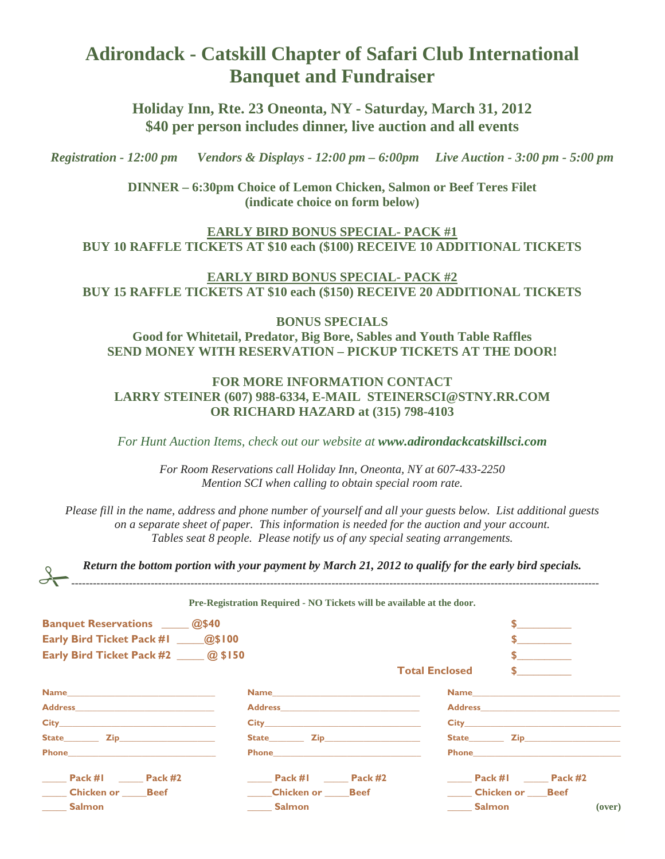### **Adirondack - Catskill Chapter of Safari Club International Banquet and Fundraiser**

**Holiday Inn, Rte. 23 Oneonta, NY - Saturday, March 31, 2012 \$40 per person includes dinner, live auction and all events** 

*Registration - 12:00 pm Vendors & Displays - 12:00 pm – 6:00pm Live Auction - 3:00 pm - 5:00 pm* 

**DINNER – 6:30pm Choice of Lemon Chicken, Salmon or Beef Teres Filet (indicate choice on form below)** 

**EARLY BIRD BONUS SPECIAL- PACK #1 BUY 10 RAFFLE TICKETS AT \$10 each (\$100) RECEIVE 10 ADDITIONAL TICKETS** 

**EARLY BIRD BONUS SPECIAL- PACK #2 BUY 15 RAFFLE TICKETS AT \$10 each (\$150) RECEIVE 20 ADDITIONAL TICKETS** 

**BONUS SPECIALS Good for Whitetail, Predator, Big Bore, Sables and Youth Table Raffles SEND MONEY WITH RESERVATION – PICKUP TICKETS AT THE DOOR!** 

#### **FOR MORE INFORMATION CONTACT LARRY STEINER (607) 988-6334, E-MAIL STEINERSCI@STNY.RR.COM OR RICHARD HAZARD at (315) 798-4103**

*For Hunt Auction Items, check out our website at www.adirondackcatskillsci.com*

*For Room Reservations call Holiday Inn, Oneonta, NY at 607-433-2250 Mention SCI when calling to obtain special room rate.* 

*Please fill in the name, address and phone number of yourself and all your guests below. List additional guests on a separate sheet of paper. This information is needed for the auction and your account. Tables seat 8 people. Please notify us of any special seating arrangements.* 

*-------------------------------------------------------------------------------------------------------------------------------------------------- Return the bottom portion with your payment by March 21, 2012 to qualify for the early bird specials.* 

**Pre-Registration Required - NO Tickets will be available at the door.** 

| <b>Banquet Reservations</b> _____ @\$40                              |                           |                                                                                                                                                                                                                                                    |
|----------------------------------------------------------------------|---------------------------|----------------------------------------------------------------------------------------------------------------------------------------------------------------------------------------------------------------------------------------------------|
| Early Bird Ticket Pack #1 ______@\$100                               |                           |                                                                                                                                                                                                                                                    |
| Early Bird Ticket Pack #2 _____ @ \$150                              |                           | $\frac{1}{2}$                                                                                                                                                                                                                                      |
|                                                                      |                           | <b>Total Enclosed</b><br>$\sim$                                                                                                                                                                                                                    |
|                                                                      |                           | Name and the state of the state of the state of the state of the state of the state of the state of the state of the state of the state of the state of the state of the state of the state of the state of the state of the s                     |
|                                                                      |                           |                                                                                                                                                                                                                                                    |
|                                                                      |                           |                                                                                                                                                                                                                                                    |
| State <b>Zip Zip</b>                                                 | State <b>Zip Zip</b>      |                                                                                                                                                                                                                                                    |
| <b>Phone <i>Company <b>Phone</b></i> <b>Company <i>Phone</i></b></b> | <b>Phone Example 2016</b> | <b>Phone <i>Company <b>Phone</b></i> <b>Company is a set of the set of the set of the set of the set of the set of the set of the set of the set of the set of the set of the set of the set of the set of the set of the set of the set o</b></b> |
| Pack #1 Pack #2                                                      | Pack #1 Pack #2           | Pack #1 Pack #2                                                                                                                                                                                                                                    |
| <b>Chicken or Beef</b>                                               | <b>Chicken or Beef</b>    | <b>Chicken or Beef</b>                                                                                                                                                                                                                             |
| _____ Salmon                                                         | <b>Salmon</b>             | <b>Example 1</b> Salmon<br>(over)                                                                                                                                                                                                                  |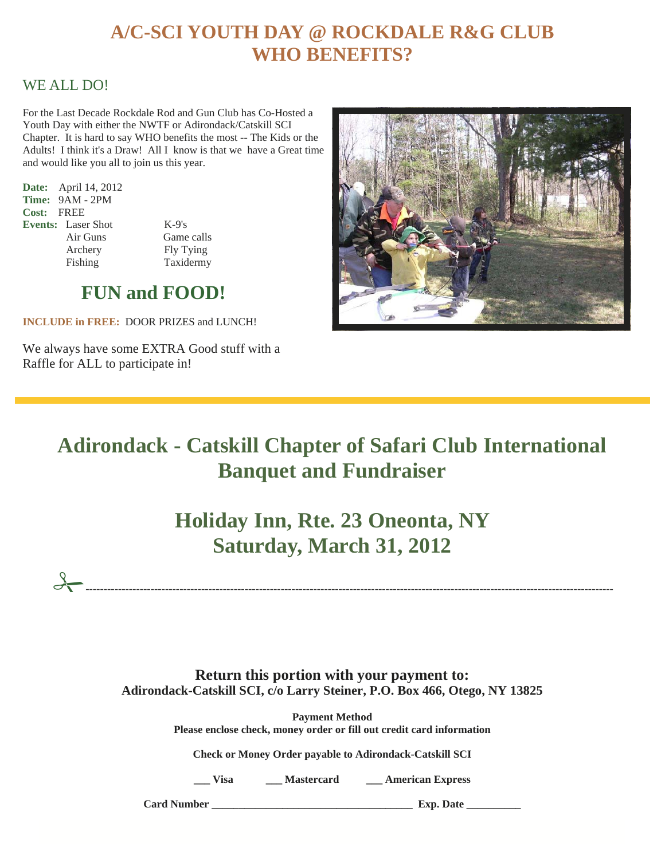## **A/C-SCI YOUTH DAY @ ROCKDALE R&G CLUB WHO BENEFITS?**

### WE ALL DO!

For the Last Decade Rockdale Rod and Gun Club has Co-Hosted a Youth Day with either the NWTF or Adirondack/Catskill SCI Chapter. It is hard to say WHO benefits the most -- The Kids or the Adults! I think it's a Draw! All I know is that we have a Great time and would like you all to join us this year.

**Date:** April 14, 2012 **Time:** 9AM - 2PM **Cost:** FREE **Events:** Laser Shot K-9's

 Air Guns Game calls Archery Fly Tying Fishing Taxidermy

### **FUN and FOOD!**

**INCLUDE in FREE:** DOOR PRIZES and LUNCH!

We always have some EXTRA Good stuff with a Raffle for ALL to participate in!



# **Adirondack - Catskill Chapter of Safari Club International Banquet and Fundraiser**

**Holiday Inn, Rte. 23 Oneonta, NY Saturday, March 31, 2012** 

*--------------------------------------------------------------------------------------------------------------------------------------------------*

**Return this portion with your payment to: Adirondack-Catskill SCI, c/o Larry Steiner, P.O. Box 466, Otego, NY 13825** 

> **Payment Method Please enclose check, money order or fill out credit card information**

**Check or Money Order payable to Adirondack-Catskill SCI** 

**\_\_\_ Visa \_\_\_ Mastercard \_\_\_ American Express** 

**Card Number Card Number Card Number Card Number Card Number Card Number Card Number Card**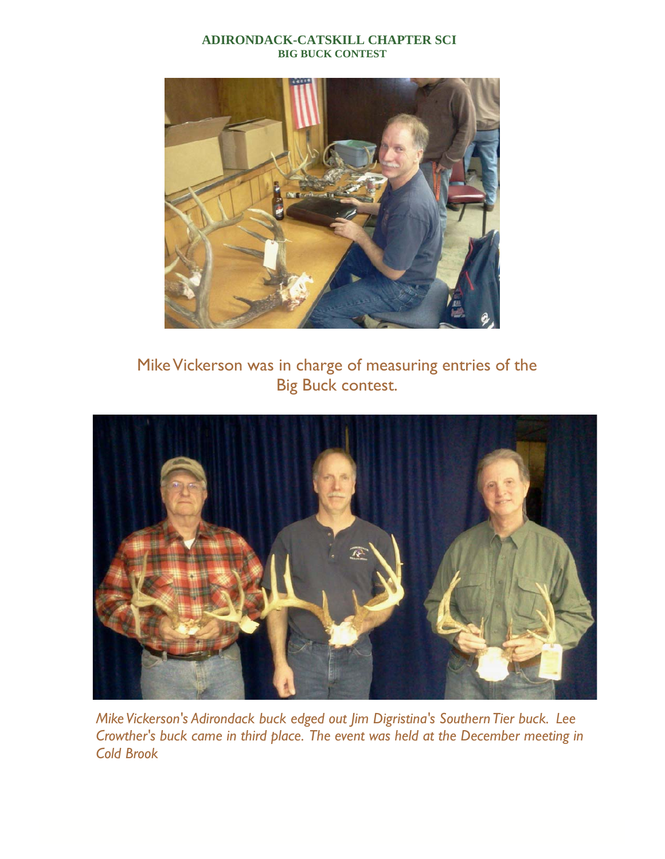#### **ADIRONDACK-CATSKILL CHAPTER SCI BIG BUCK CONTEST**



Mike Vickerson was in charge of measuring entries of the Big Buck contest.



*Mike Vickerson's Adirondack buck edged out Jim Digristina's Southern Tier buck. Lee Crowther's buck came in third place. The event was held at the December meeting in Cold Brook*